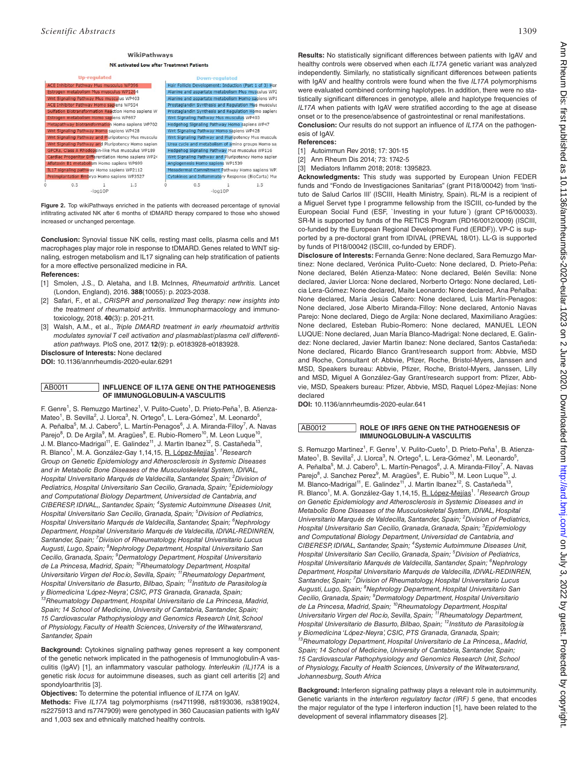# WikiPathways



**Figure 2.** Top wikiPathways enriched in the patients with decreased percentage of synovial infiltrating activated NK after 6 months of tDMARD therapy compared to those who showed increased or unchanged percentage.

**Conclusion:** Synovial tissue NK cells, resting mast cells, plasma cells and M1 macrophages play major role in response to tDMARD. Genes related to WNT signaling, estrogen metabolism and IL17 signaling can help stratification of patients for a more effective personalized medicine in RA.

## **References:**

- [1] Smolen, J.S., D. Aletaha, and I.B. McInnes, *Rheumatoid arthritis.* Lancet (London, England), 2016. **388**(10055): p. 2023-2038.
- [2] Safari, F., et al., *CRISPR and personalized Treg therapy: new insights into the treatment of rheumatoid arthritis.* Immunopharmacology and immunotoxicology, 2018. **40**(3): p. 201-211.
- [3] Walsh, A.M., et al., *Triple DMARD treatment in early rheumatoid arthritis modulates synovial T cell activation and plasmablast/plasma cell differentiation pathways.* PloS one, 2017. **12**(9): p. e0183928-e0183928.

**Disclosure of Interests:** None declared

**DOI:** 10.1136/annrheumdis-2020-eular.6291

## AB0011 **INFLUENCE OF IL17A GENE ON THE PATHOGENESIS OF IMMUNOGLOBULIN-A VASCULITIS**

F. Genre<sup>1</sup>, S. Remuzgo Martinez<sup>1</sup>, V. Pulito-Cueto<sup>1</sup>, D. Prieto-Peña<sup>1</sup>, B. Atienza-Mateo<sup>1</sup>, B. Sevilla<sup>2</sup>, J. Llorca<sup>3</sup>, N. Ortego<sup>4</sup>, L. Lera-Gómez<sup>1</sup>, M. Leonardo<sup>5</sup>, A. Peñalba<sup>5</sup>, M. J. Cabero<sup>5</sup>, L. Martín-Penagos<sup>6</sup>, J. A. Miranda-Filloy<sup>7</sup>, A. Navas Parejo<sup>8</sup>, D. De Argila<sup>9</sup>, M. Aragües<sup>9</sup>, E. Rubio-Romero<sup>10</sup>, M. Leon Luque<sup>10</sup>, J. M. Blanco-Madrigal<sup>11</sup>, E. Galindez<sup>11</sup>, J. Martin Ibanez<sup>12</sup>, S. Castañeda<sup>13</sup>, R. Blanco<sup>1</sup>, M. A. González-Gay 1,14,15, <u>R. López-Mejías</u><sup>1</sup>. <sup>*1*</sup> Research *Group on Genetic Epidemiology and Atherosclerosis in Systemic Diseases and in Metabolic Bone Diseases of the Musculoskeletal System, IDIVAL, Hospital Universitario Marqués de Valdecilla, Santander, Spain; <sup>2</sup> Division of Pediatrics, Hospital Universitario San Cecilio, Granada, Spain; <sup>3</sup> Epidemiology and Computational Biology Department, Universidad de Cantabria, and CIBERESP, IDIVAL,, Santander, Spain; <sup>4</sup> Systemic Autoimmune Diseases Unit, Hospital Universitario San Cecilio, Granada, Spain; <sup>5</sup> Division of Pediatrics, Hospital Universitario Marqués de Valdecilla, Santander, Spain; <sup>6</sup> Nephrology Department, Hospital Universitario Marqués de Valdecilla, IDIVAL-REDINREN, Santander, Spain; <sup>7</sup> Division of Rheumatology, Hospital Universitario Lucus Augusti, Lugo, Spain; <sup>8</sup> Nephrology Department, Hospital Universitario San Cecilio, Granada, Spain; <sup>9</sup> Dermatology Department, Hospital Universitario de La Princesa, Madrid, Spain; 10Rheumatology Department, Hospital Universitario Virgen del Rocío, Sevilla, Spain; 11Rheumatology Department, Hospital Universitario de Basurto, Bilbao, Spain; 12Instituto de Parasitología y Biomedicina 'López-Neyra', CSIC, PTS Granada, Granada, Spain; 13Rheumatology Department, Hospital Universitario de La Princesa, Madrid, Spain; 14 School of Medicine, University of Cantabria, Santander, Spain; 15 Cardiovascular Pathophysiology and Genomics Research Unit, School of Physiology, Faculty of Health Sciences, University of the Witwatersrand, Santander, Spain*

**Background:** Cytokines signaling pathway genes represent a key component of the genetic network implicated in the pathogenesis of Immunoglobulin-A vasculitis (IgAV) [1], an inflammatory vascular pathology. *Interleukin (IL)17A* is a genetic risk *locus* for autoimmune diseases, such as giant cell arteritis [2] and spondyloarthritis [3].

**Objectives:** To determine the potential influence of *IL17A* on IgAV.

**Methods:** Five *IL17A* tag polymorphisms (rs4711998, rs8193036, rs3819024, rs2275913 and rs7747909) were genotyped in 360 Caucasian patients with IgAV and 1,003 sex and ethnically matched healthy controls.

**Results:** No statistically significant differences between patients with IgAV and healthy controls were observed when each *IL17A* genetic variant was analyzed independently. Similarly, no statistically significant differences between patients with IgAV and healthy controls were found when the five *IL17A* polymorphisms were evaluated combined conforming haplotypes. In addition, there were no statistically significant differences in genotype, allele and haplotype frequencies of *IL17A* when patients with IgAV were stratified according to the age at disease onset or to the presence/absence of gastrointestinal or renal manifestations.

**Conclusion:** Our results do not support an influence of *IL17A* on the pathogenesis of IgAV

### **References:**

[1] Autoimmun Rev 2018; 17: 301-15

[2] Ann Rheum Dis 2014; 73: 1742-5

[3] Mediators Inflamm 2018; 2018: 1395823.

**Acknowledgments:** This study was supported by European Union FEDER funds and "Fondo de Investigaciones Sanitarias" (grant PI18/00042) from 'Instituto de Salud Carlos III' (ISCIII, Health Ministry, Spain). RL-M is a recipient of a Miguel Servet type I programme fellowship from the ISCIII, co-funded by the European Social Fund (ESF, `Investing in your future´) (grant CP16/00033). SR-M is supported by funds of the RETICS Program (RD16/0012/0009) (ISCIII, co-funded by the European Regional Development Fund (ERDF)). VP-C is supported by a pre-doctoral grant from IDIVAL (PREVAL 18/01). LL-G is supported by funds of PI18/00042 (ISCIII, co-funded by ERDF).

**Disclosure of Interests:** Fernanda Genre: None declared, Sara Remuzgo Martinez: None declared, Verónica Pulito-Cueto: None declared, D. Prieto-Peña: None declared, Belén Atienza-Mateo: None declared, Belén Sevilla: None declared, Javier Llorca: None declared, Norberto Ortego: None declared, Leticia Lera-Gómez: None declared, Maite Leonardo: None declared, Ana Peñalba: None declared, María Jesús Cabero: None declared, Luis Martín-Penagos: None declared, Jose Alberto Miranda-Filloy: None declared, Antonio Navas Parejo: None declared, Diego de Argila: None declared, Maximiliano Aragües: None declared, Esteban Rubio-Romero: None declared, MANUEL LEON LUQUE: None declared, Juan María Blanco-Madrigal: None declared, E. Galindez: None declared, Javier Martin Ibanez: None declared, Santos Castañeda: None declared, Ricardo Blanco Grant/research support from: Abbvie, MSD and Roche, Consultant of: Abbvie, Pfizer, Roche, Bristol-Myers, Janssen and MSD, Speakers bureau: Abbvie, Pfizer, Roche, Bristol-Myers, Janssen, Lilly and MSD, Miguel A González-Gay Grant/research support from: Pfizer, Abbvie, MSD, Speakers bureau: Pfizer, Abbvie, MSD, Raquel López-Mejías: None declared

**DOI:** 10.1136/annrheumdis-2020-eular.641

### AB0012 **ROLE OF IRF5 GENE ON THE PATHOGENESIS OF IMMUNOGLOBULIN-A VASCULITIS**

S. Remuzgo Martinez<sup>1</sup>, F. Genre<sup>1</sup>, V. Pulito-Cueto<sup>1</sup>, D. Prieto-Peña<sup>1</sup>, B. Atienza-Mateo<sup>1</sup>, B. Sevilla<sup>2</sup>, J. Llorca<sup>3</sup>, N. Ortego<sup>4</sup>, L. Lera-Gómez<sup>1</sup>, M. Leonardo<sup>5</sup>, A. Peñalba<sup>5</sup>, M. J. Cabero<sup>5</sup>, L. Martín-Penagos<sup>6</sup>, J. A. Miranda-Filloy<sup>7</sup>, A. Navas Parejo<sup>8</sup>, J. Sanchez Perez<sup>9</sup>, M. Aragües<sup>9</sup>, E. Rubio<sup>10</sup>, M. Leon Luque<sup>10</sup>, J. M. Blanco-Madrigal<sup>11</sup>, E. Galindez<sup>11</sup>, J. Martin Ibanez<sup>12</sup>, S. Castañeda<sup>13</sup>, R. Blanco<sup>1</sup>, M. A. González-Gay 1,14,15, **R. López-Mejías<sup>1</sup>. <sup>7</sup> Research Group** *on Genetic Epidemiology and Atherosclerosis in Systemic Diseases and in Metabolic Bone Diseases of the Musculoskeletal System, IDIVAL, Hospital Universitario Marqués de Valdecilla, Santander, Spain; <sup>2</sup> Division of Pediatrics, Hospital Universitario San Cecilio, Granada, Granada, Spain; <sup>3</sup> Epidemiology and Computational Biology Department, Universidad de Cantabria, and CIBERESP, IDIVAL, Santander, Spain; <sup>4</sup> Systemic Autoimmune Diseases Unit, Hospital Universitario San Cecilio, Granada, Spain; <sup>5</sup> Division of Pediatrics, Hospital Universitario Marqués de Valdecilla, Santander, Spain; <sup>6</sup> Nephrology Department, Hospital Universitario Marqués de Valdecilla, IDIVAL-REDINREN, Santander, Spain; <sup>7</sup> Division of Rheumatology, Hospital Universitario Lucus Augusti, Lugo, Spain; <sup>8</sup> Nephrology Department, Hospital Universitario San Cecilio, Granada, Spain; <sup>9</sup> Dermatology Department, Hospital Universitario de La Princesa, Madrid, Spain; 10Rheumatology Department, Hospital Universitario Virgen del Rocío, Sevilla, Spain; 11Rheumatology Department, Hospital Universitario de Basurto, Bilbao, Spain; 12Instituto de Parasitología y Biomedicina 'López-Neyra', CSIC, PTS Granada, Granada, Spain; 13Rheumatology Department, Hospital Universitario de La Princesa,, Madrid, Spain; 14 School of Medicine, University of Cantabria, Santander, Spain; 15 Cardiovascular Pathophysiology and Genomics Research Unit, School of Physiology, Faculty of Health Sciences, University of the Witwatersrand, Johannesburg, South Africa*

<span id="page-0-5"></span><span id="page-0-4"></span><span id="page-0-3"></span><span id="page-0-2"></span><span id="page-0-1"></span><span id="page-0-0"></span>**Background:** Interferon signaling pathway plays a relevant role in autoimmunity. Genetic variants in the *interferon regulatory factor (IRF) 5* gene, that encodes the major regulator of the type I interferon induction [1], have been related to the development of several inflammatory diseases [2].